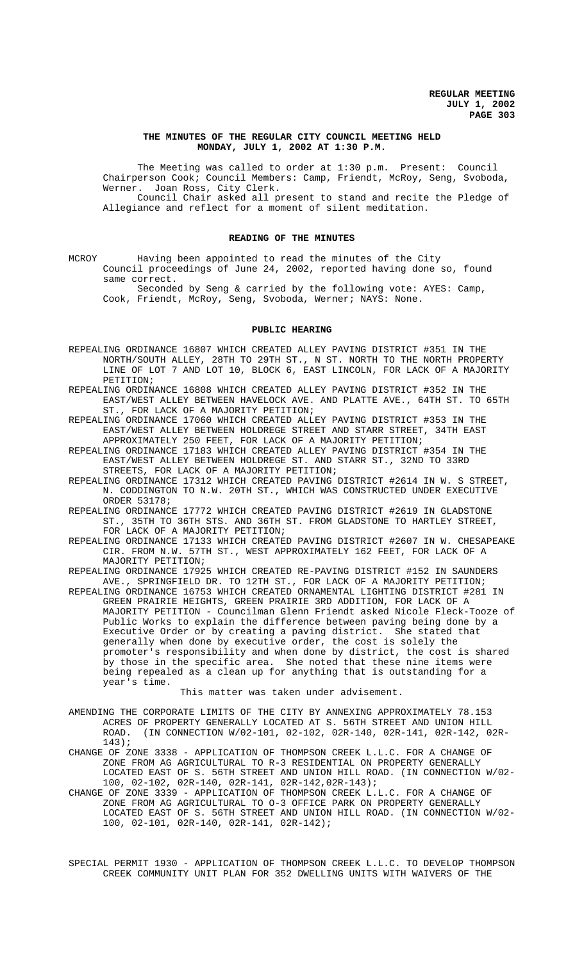### **THE MINUTES OF THE REGULAR CITY COUNCIL MEETING HELD MONDAY, JULY 1, 2002 AT 1:30 P.M.**

The Meeting was called to order at 1:30 p.m. Present: Council Chairperson Cook; Council Members: Camp, Friendt, McRoy, Seng, Svoboda, Werner. Joan Ross, City Clerk. Council Chair asked all present to stand and recite the Pledge of

Allegiance and reflect for a moment of silent meditation.

### **READING OF THE MINUTES**

MCROY Having been appointed to read the minutes of the City Council proceedings of June 24, 2002, reported having done so, found same correct.

Seconded by Seng & carried by the following vote: AYES: Camp, Cook, Friendt, McRoy, Seng, Svoboda, Werner; NAYS: None.

# **PUBLIC HEARING**

- REPEALING ORDINANCE 16807 WHICH CREATED ALLEY PAVING DISTRICT #351 IN THE NORTH/SOUTH ALLEY, 28TH TO 29TH ST., N ST. NORTH TO THE NORTH PROPERTY LINE OF LOT 7 AND LOT 10, BLOCK 6, EAST LINCOLN, FOR LACK OF A MAJORITY PETITION;
- REPEALING ORDINANCE 16808 WHICH CREATED ALLEY PAVING DISTRICT #352 IN THE EAST/WEST ALLEY BETWEEN HAVELOCK AVE. AND PLATTE AVE., 64TH ST. TO 65TH ST., FOR LACK OF A MAJORITY PETITION;

REPEALING ORDINANCE 17060 WHICH CREATED ALLEY PAVING DISTRICT #353 IN THE EAST/WEST ALLEY BETWEEN HOLDREGE STREET AND STARR STREET, 34TH EAST APPROXIMATELY 250 FEET, FOR LACK OF A MAJORITY PETITION;

REPEALING ORDINANCE 17183 WHICH CREATED ALLEY PAVING DISTRICT #354 IN THE EAST/WEST ALLEY BETWEEN HOLDREGE ST. AND STARR ST., 32ND TO 33RD STREETS, FOR LACK OF A MAJORITY PETITION;

REPEALING ORDINANCE 17312 WHICH CREATED PAVING DISTRICT #2614 IN W. S STREET, N. CODDINGTON TO N.W. 20TH ST., WHICH WAS CONSTRUCTED UNDER EXECUTIVE ORDER 53178;

REPEALING ORDINANCE 17772 WHICH CREATED PAVING DISTRICT #2619 IN GLADSTONE ST., 35TH TO 36TH STS. AND 36TH ST. FROM GLADSTONE TO HARTLEY STREET, FOR LACK OF A MAJORITY PETITION;

REPEALING ORDINANCE 17133 WHICH CREATED PAVING DISTRICT #2607 IN W. CHESAPEAKE CIR. FROM N.W. 57TH ST., WEST APPROXIMATELY 162 FEET, FOR LACK OF A MAJORITY PETITION;

REPEALING ORDINANCE 17925 WHICH CREATED RE-PAVING DISTRICT #152 IN SAUNDERS AVE., SPRINGFIELD DR. TO 12TH ST., FOR LACK OF A MAJORITY PETITION;

REPEALING ORDINANCE 16753 WHICH CREATED ORNAMENTAL LIGHTING DISTRICT #281 IN GREEN PRAIRIE HEIGHTS, GREEN PRAIRIE 3RD ADDITION, FOR LACK OF A MAJORITY PETITION - Councilman Glenn Friendt asked Nicole Fleck-Tooze of Public Works to explain the difference between paving being done by a Executive Order or by creating a paving district. She stated that generally when done by executive order, the cost is solely the promoter's responsibility and when done by district, the cost is shared by those in the specific area. She noted that these nine items were being repealed as a clean up for anything that is outstanding for a year's time.

This matter was taken under advisement.

- AMENDING THE CORPORATE LIMITS OF THE CITY BY ANNEXING APPROXIMATELY 78.153 ACRES OF PROPERTY GENERALLY LOCATED AT S. 56TH STREET AND UNION HILL ROAD. (IN CONNECTION W/02-101, 02-102, 02R-140, 02R-141, 02R-142, 02R-143);
- CHANGE OF ZONE 3338 APPLICATION OF THOMPSON CREEK L.L.C. FOR A CHANGE OF ZONE FROM AG AGRICULTURAL TO R-3 RESIDENTIAL ON PROPERTY GENERALLY LOCATED EAST OF S. 56TH STREET AND UNION HILL ROAD. (IN CONNECTION W/02- 100, 02-102, 02R-140, 02R-141, 02R-142,02R-143);
- CHANGE OF ZONE 3339 APPLICATION OF THOMPSON CREEK L.L.C. FOR A CHANGE OF ZONE FROM AG AGRICULTURAL TO O-3 OFFICE PARK ON PROPERTY GENERALLY LOCATED EAST OF S. 56TH STREET AND UNION HILL ROAD. (IN CONNECTION W/02- 100, 02-101, 02R-140, 02R-141, 02R-142);

SPECIAL PERMIT 1930 - APPLICATION OF THOMPSON CREEK L.L.C. TO DEVELOP THOMPSON CREEK COMMUNITY UNIT PLAN FOR 352 DWELLING UNITS WITH WAIVERS OF THE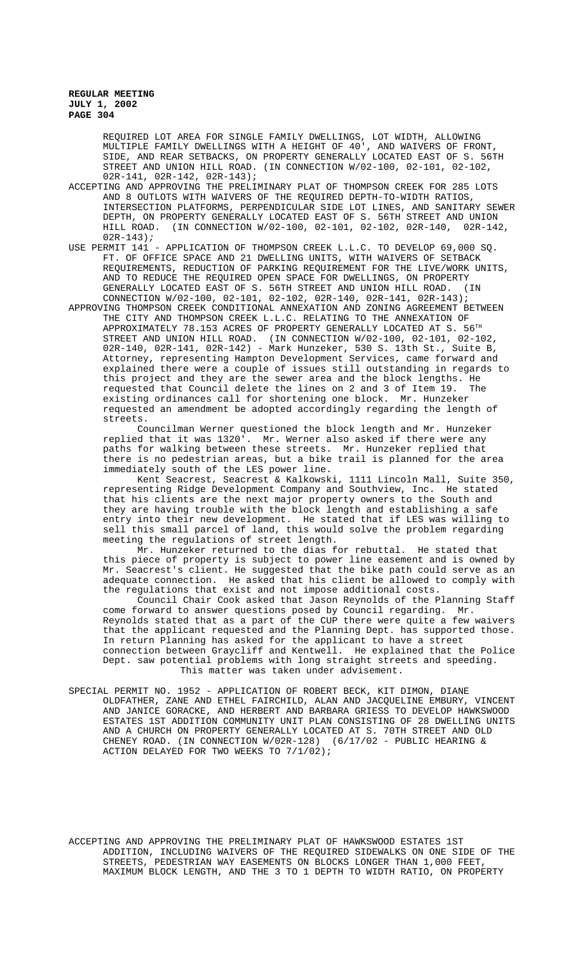> REQUIRED LOT AREA FOR SINGLE FAMILY DWELLINGS, LOT WIDTH, ALLOWING MULTIPLE FAMILY DWELLINGS WITH A HEIGHT OF 40', AND WAIVERS OF FRONT, SIDE, AND REAR SETBACKS, ON PROPERTY GENERALLY LOCATED EAST OF S. 56TH STREET AND UNION HILL ROAD. (IN CONNECTION W/02-100, 02-101, 02-102, 02R-141, 02R-142, 02R-143);

ACCEPTING AND APPROVING THE PRELIMINARY PLAT OF THOMPSON CREEK FOR 285 LOTS AND 8 OUTLOTS WITH WAIVERS OF THE REQUIRED DEPTH-TO-WIDTH RATIOS, INTERSECTION PLATFORMS, PERPENDICULAR SIDE LOT LINES, AND SANITARY SEWER DEPTH, ON PROPERTY GENERALLY LOCATED EAST OF S. 56TH STREET AND UNION HILL ROAD. (IN CONNECTION W/02-100, 02-101, 02-102, 02R-140, 02R-142,  $02R-143$ );

USE PERMIT 141 - APPLICATION OF THOMPSON CREEK L.L.C. TO DEVELOP 69,000 SQ. FT. OF OFFICE SPACE AND 21 DWELLING UNITS, WITH WAIVERS OF SETBACK REQUIREMENTS, REDUCTION OF PARKING REQUIREMENT FOR THE LIVE/WORK UNITS, AND TO REDUCE THE REQUIRED OPEN SPACE FOR DWELLINGS, ON PROPERTY<br>GENERALLY LOCATED EAST OF S. 56TH STREET AND UNION HILL ROAD. (IN GENERALLY LOCATED EAST OF S. 56TH STREET AND UNION HILL ROAD. CONNECTION W/02-100, 02-101, 02-102, 02R-140, 02R-141, 02R-143);

APPROVING THOMPSON CREEK CONDITIONAL ANNEXATION AND ZONING AGREEMENT BETWEEN THE CITY AND THOMPSON CREEK L.L.C. RELATING TO THE ANNEXATION OF APPROXIMATELY 78.153 ACRES OF PROPERTY GENERALLY LOCATED AT S.  $56^{\text{TH}}$ STREET AND UNION HILL ROAD. (IN CONNECTION W/02-100, 02-101, 02-102, 02R-140, 02R-141, 02R-142) - Mark Hunzeker, 530 S. 13th St., Suite B, Attorney, representing Hampton Development Services, came forward and explained there were a couple of issues still outstanding in regards to this project and they are the sewer area and the block lengths. He requested that Council delete the lines on 2 and 3 of Item 19. The existing ordinances call for shortening one block. Mr. Hunzeker requested an amendment be adopted accordingly regarding the length of streets.

Councilman Werner questioned the block length and Mr. Hunzeker replied that it was 1320'. Mr. Werner also asked if there were any paths for walking between these streets. Mr. Hunzeker replied that there is no pedestrian areas, but a bike trail is planned for the area immediately south of the LES power line.

Kent Seacrest, Seacrest & Kalkowski, 1111 Lincoln Mall, Suite 350, representing Ridge Development Company and Southview, Inc. He stated that his clients are the next major property owners to the South and they are having trouble with the block length and establishing a safe entry into their new development. He stated that if LES was willing to sell this small parcel of land, this would solve the problem regarding meeting the regulations of street length.

Mr. Hunzeker returned to the dias for rebuttal. He stated that this piece of property is subject to power line easement and is owned by Mr. Seacrest's client. He suggested that the bike path could serve as an adequate connection. He asked that his client be allowed to comply with the regulations that exist and not impose additional costs.

Council Chair Cook asked that Jason Reynolds of the Planning Staff come forward to answer questions posed by Council regarding. Mr. Reynolds stated that as a part of the CUP there were quite a few waivers that the applicant requested and the Planning Dept. has supported those. In return Planning has asked for the applicant to have a street connection between Graycliff and Kentwell. He explained that the Police Dept. saw potential problems with long straight streets and speeding. This matter was taken under advisement.

SPECIAL PERMIT NO. 1952 - APPLICATION OF ROBERT BECK, KIT DIMON, DIANE OLDFATHER, ZANE AND ETHEL FAIRCHILD, ALAN AND JACQUELINE EMBURY, VINCENT AND JANICE GORACKE, AND HERBERT AND BARBARA GRIESS TO DEVELOP HAWKSWOOD ESTATES 1ST ADDITION COMMUNITY UNIT PLAN CONSISTING OF 28 DWELLING UNITS AND A CHURCH ON PROPERTY GENERALLY LOCATED AT S. 70TH STREET AND OLD CHENEY ROAD. (IN CONNECTION W/02R-128) (6/17/02 - PUBLIC HEARING & ACTION DELAYED FOR TWO WEEKS TO 7/1/02);

ACCEPTING AND APPROVING THE PRELIMINARY PLAT OF HAWKSWOOD ESTATES 1ST ADDITION, INCLUDING WAIVERS OF THE REQUIRED SIDEWALKS ON ONE SIDE OF THE STREETS, PEDESTRIAN WAY EASEMENTS ON BLOCKS LONGER THAN 1,000 FEET, MAXIMUM BLOCK LENGTH, AND THE 3 TO 1 DEPTH TO WIDTH RATIO, ON PROPERTY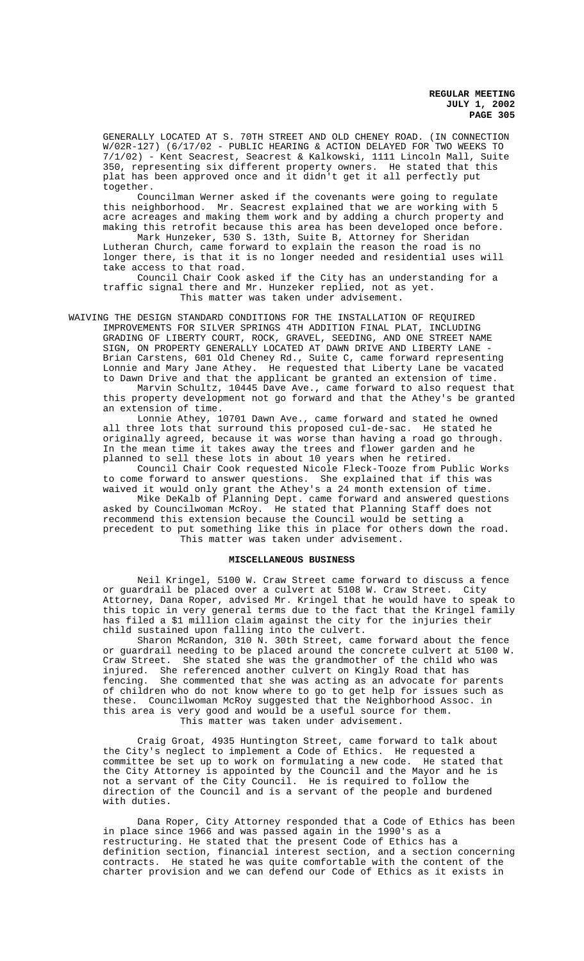GENERALLY LOCATED AT S. 70TH STREET AND OLD CHENEY ROAD. (IN CONNECTION W/02R-127) (6/17/02 - PUBLIC HEARING & ACTION DELAYED FOR TWO WEEKS TO 7/1/02) - Kent Seacrest, Seacrest & Kalkowski, 1111 Lincoln Mall, Suite 350, representing six different property owners. He stated that this plat has been approved once and it didn't get it all perfectly put together.

Councilman Werner asked if the covenants were going to regulate this neighborhood. Mr. Seacrest explained that we are working with 5 acre acreages and making them work and by adding a church property and making this retrofit because this area has been developed once before.

Mark Hunzeker, 530 S. 13th, Suite B, Attorney for Sheridan Lutheran Church, came forward to explain the reason the road is no longer there, is that it is no longer needed and residential uses will take access to that road.

Council Chair Cook asked if the City has an understanding for a traffic signal there and Mr. Hunzeker replied, not as yet. This matter was taken under advisement.

WAIVING THE DESIGN STANDARD CONDITIONS FOR THE INSTALLATION OF REQUIRED IMPROVEMENTS FOR SILVER SPRINGS 4TH ADDITION FINAL PLAT, INCLUDING GRADING OF LIBERTY COURT, ROCK, GRAVEL, SEEDING, AND ONE STREET NAME SIGN, ON PROPERTY GENERALLY LOCATED AT DAWN DRIVE AND LIBERTY LANE - Brian Carstens, 601 Old Cheney Rd., Suite C, came forward representing Lonnie and Mary Jane Athey. He requested that Liberty Lane be vacated to Dawn Drive and that the applicant be granted an extension of time.

Marvin Schultz, 10445 Dave Ave., came forward to also request that this property development not go forward and that the Athey's be granted an extension of time.

Lonnie Athey, 10701 Dawn Ave., came forward and stated he owned all three lots that surround this proposed cul-de-sac. He stated he originally agreed, because it was worse than having a road go through. In the mean time it takes away the trees and flower garden and he planned to sell these lots in about 10 years when he retired.

Council Chair Cook requested Nicole Fleck-Tooze from Public Works to come forward to answer questions. She explained that if this was waived it would only grant the Athey's a 24 month extension of time.

Mike DeKalb of Planning Dept. came forward and answered questions asked by Councilwoman McRoy. He stated that Planning Staff does not recommend this extension because the Council would be setting a precedent to put something like this in place for others down the road. This matter was taken under advisement.

### **MISCELLANEOUS BUSINESS**

Neil Kringel, 5100 W. Craw Street came forward to discuss a fence or guardrail be placed over a culvert at 5108 W. Craw Street. City Attorney, Dana Roper, advised Mr. Kringel that he would have to speak to this topic in very general terms due to the fact that the Kringel family has filed a \$1 million claim against the city for the injuries their child sustained upon falling into the culvert.

Sharon McRandon, 310 N. 30th Street, came forward about the fence or guardrail needing to be placed around the concrete culvert at 5100 W. Craw Street. She stated she was the grandmother of the child who was injured. She referenced another culvert on Kingly Road that has fencing. She commented that she was acting as an advocate for parents of children who do not know where to go to get help for issues such as these. Councilwoman McRoy suggested that the Neighborhood Assoc. in this area is very good and would be a useful source for them. This matter was taken under advisement.

Craig Groat, 4935 Huntington Street, came forward to talk about the City's neglect to implement a Code of Ethics. He requested a committee be set up to work on formulating a new code. He stated that the City Attorney is appointed by the Council and the Mayor and he is not a servant of the City Council. He is required to follow the direction of the Council and is a servant of the people and burdened with duties.

Dana Roper, City Attorney responded that a Code of Ethics has been in place since 1966 and was passed again in the 1990's as a restructuring. He stated that the present Code of Ethics has a definition section, financial interest section, and a section concerning contracts. He stated he was quite comfortable with the content of the charter provision and we can defend our Code of Ethics as it exists in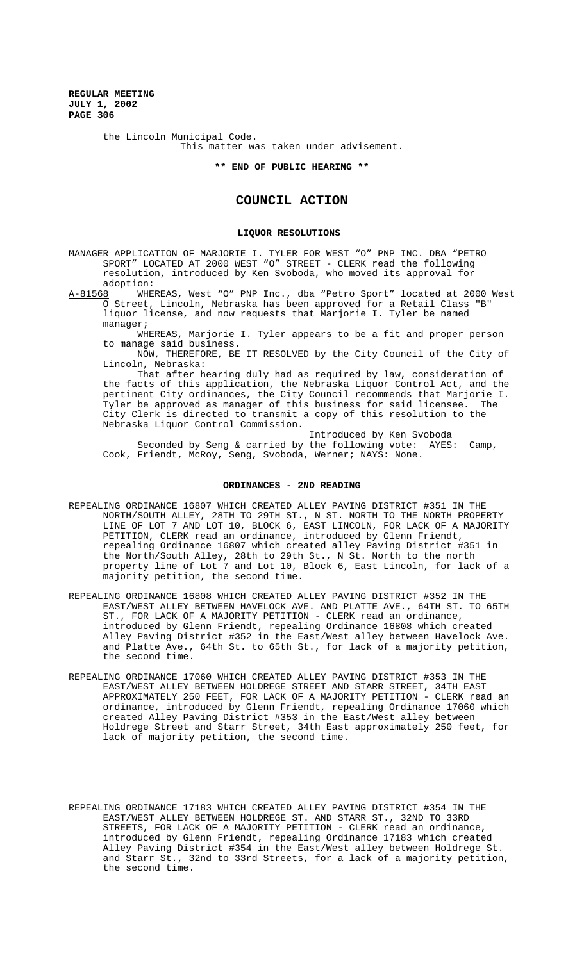> the Lincoln Municipal Code. This matter was taken under advisement.

> > **\*\* END OF PUBLIC HEARING \*\***

# **COUNCIL ACTION**

### **LIQUOR RESOLUTIONS**

MANAGER APPLICATION OF MARJORIE I. TYLER FOR WEST "O" PNP INC. DBA "PETRO SPORT" LOCATED AT 2000 WEST "O" STREET - CLERK read the following resolution, introduced by Ken Svoboda, who moved its approval for

adoption:<br>A-81568 WHE WHEREAS, West "O" PNP Inc., dba "Petro Sport" located at 2000 West O Street, Lincoln, Nebraska has been approved for a Retail Class "B" liquor license, and now requests that Marjorie I. Tyler be named manager;

WHEREAS, Marjorie I. Tyler appears to be a fit and proper person to manage said business.

NOW, THEREFORE, BE IT RESOLVED by the City Council of the City of Lincoln, Nebraska:

That after hearing duly had as required by law, consideration of the facts of this application, the Nebraska Liquor Control Act, and the pertinent City ordinances, the City Council recommends that Marjorie I. Tyler be approved as manager of this business for said licensee. The City Clerk is directed to transmit a copy of this resolution to the Nebraska Liquor Control Commission.

Introduced by Ken Svoboda Seconded by Seng & carried by the following vote: AYES: Camp, Cook, Friendt, McRoy, Seng, Svoboda, Werner; NAYS: None.

#### **ORDINANCES - 2ND READING**

- REPEALING ORDINANCE 16807 WHICH CREATED ALLEY PAVING DISTRICT #351 IN THE NORTH/SOUTH ALLEY, 28TH TO 29TH ST., N ST. NORTH TO THE NORTH PROPERTY LINE OF LOT 7 AND LOT 10, BLOCK 6, EAST LINCOLN, FOR LACK OF A MAJORITY PETITION, CLERK read an ordinance, introduced by Glenn Friendt, repealing Ordinance 16807 which created alley Paving District #351 in the North/South Alley, 28th to 29th St., N St. North to the north property line of Lot 7 and Lot 10, Block 6, East Lincoln, for lack of a majority petition, the second time.
- REPEALING ORDINANCE 16808 WHICH CREATED ALLEY PAVING DISTRICT #352 IN THE EAST/WEST ALLEY BETWEEN HAVELOCK AVE. AND PLATTE AVE., 64TH ST. TO 65TH ST., FOR LACK OF A MAJORITY PETITION - CLERK read an ordinance, introduced by Glenn Friendt, repealing Ordinance 16808 which created Alley Paving District #352 in the East/West alley between Havelock Ave. and Platte Ave., 64th St. to 65th St., for lack of a majority petition, the second time.
- REPEALING ORDINANCE 17060 WHICH CREATED ALLEY PAVING DISTRICT #353 IN THE EAST/WEST ALLEY BETWEEN HOLDREGE STREET AND STARR STREET, 34TH EAST APPROXIMATELY 250 FEET, FOR LACK OF A MAJORITY PETITION - CLERK read an ordinance, introduced by Glenn Friendt, repealing Ordinance 17060 which created Alley Paving District #353 in the East/West alley between Holdrege Street and Starr Street, 34th East approximately 250 feet, for lack of majority petition, the second time.
- REPEALING ORDINANCE 17183 WHICH CREATED ALLEY PAVING DISTRICT #354 IN THE EAST/WEST ALLEY BETWEEN HOLDREGE ST. AND STARR ST., 32ND TO 33RD STREETS, FOR LACK OF A MAJORITY PETITION - CLERK read an ordinance, introduced by Glenn Friendt, repealing Ordinance 17183 which created Alley Paving District #354 in the East/West alley between Holdrege St. and Starr St., 32nd to 33rd Streets, for a lack of a majority petition, the second time.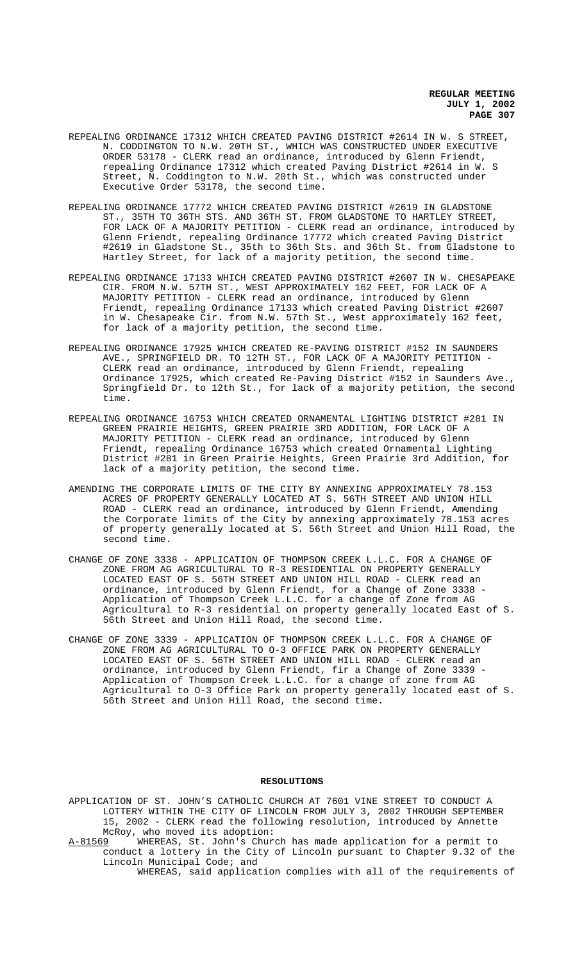- REPEALING ORDINANCE 17312 WHICH CREATED PAVING DISTRICT #2614 IN W. S STREET, N. CODDINGTON TO N.W. 20TH ST., WHICH WAS CONSTRUCTED UNDER EXECUTIVE ORDER 53178 - CLERK read an ordinance, introduced by Glenn Friendt, repealing Ordinance 17312 which created Paving District #2614 in W. S Street, N. Coddington to N.W. 20th St., which was constructed under Executive Order 53178, the second time.
- REPEALING ORDINANCE 17772 WHICH CREATED PAVING DISTRICT #2619 IN GLADSTONE ST., 35TH TO 36TH STS. AND 36TH ST. FROM GLADSTONE TO HARTLEY STREET, FOR LACK OF A MAJORITY PETITION - CLERK read an ordinance, introduced by Glenn Friendt, repealing Ordinance 17772 which created Paving District #2619 in Gladstone St., 35th to 36th Sts. and 36th St. from Gladstone to Hartley Street, for lack of a majority petition, the second time.
- REPEALING ORDINANCE 17133 WHICH CREATED PAVING DISTRICT #2607 IN W. CHESAPEAKE CIR. FROM N.W. 57TH ST., WEST APPROXIMATELY 162 FEET, FOR LACK OF A MAJORITY PETITION - CLERK read an ordinance, introduced by Glenn Friendt, repealing Ordinance 17133 which created Paving District #2607 in W. Chesapeake Cir. from N.W. 57th St., West approximately 162 feet, for lack of a majority petition, the second time.
- REPEALING ORDINANCE 17925 WHICH CREATED RE-PAVING DISTRICT #152 IN SAUNDERS AVE., SPRINGFIELD DR. TO 12TH ST., FOR LACK OF A MAJORITY PETITION - CLERK read an ordinance, introduced by Glenn Friendt, repealing Ordinance 17925, which created Re-Paving District #152 in Saunders Ave., Springfield Dr. to 12th St., for lack of a majority petition, the second time.
- REPEALING ORDINANCE 16753 WHICH CREATED ORNAMENTAL LIGHTING DISTRICT #281 IN GREEN PRAIRIE HEIGHTS, GREEN PRAIRIE 3RD ADDITION, FOR LACK OF A MAJORITY PETITION - CLERK read an ordinance, introduced by Glenn Friendt, repealing Ordinance 16753 which created Ornamental Lighting District #281 in Green Prairie Heights, Green Prairie 3rd Addition, for lack of a majority petition, the second time.
- AMENDING THE CORPORATE LIMITS OF THE CITY BY ANNEXING APPROXIMATELY 78.153 ACRES OF PROPERTY GENERALLY LOCATED AT S. 56TH STREET AND UNION HILL ROAD - CLERK read an ordinance, introduced by Glenn Friendt, Amending the Corporate limits of the City by annexing approximately 78.153 acres of property generally located at S. 56th Street and Union Hill Road, the second time.
- CHANGE OF ZONE 3338 APPLICATION OF THOMPSON CREEK L.L.C. FOR A CHANGE OF ZONE FROM AG AGRICULTURAL TO R-3 RESIDENTIAL ON PROPERTY GENERALLY LOCATED EAST OF S. 56TH STREET AND UNION HILL ROAD - CLERK read an ordinance, introduced by Glenn Friendt, for a Change of Zone 3338 - Application of Thompson Creek L.L.C. for a change of Zone from AG Agricultural to R-3 residential on property generally located East of S. 56th Street and Union Hill Road, the second time.
- CHANGE OF ZONE 3339 APPLICATION OF THOMPSON CREEK L.L.C. FOR A CHANGE OF ZONE FROM AG AGRICULTURAL TO O-3 OFFICE PARK ON PROPERTY GENERALLY LOCATED EAST OF S. 56TH STREET AND UNION HILL ROAD - CLERK read an ordinance, introduced by Glenn Friendt, fir a Change of Zone 3339 - Application of Thompson Creek L.L.C. for a change of zone from AG Agricultural to O-3 Office Park on property generally located east of S. 56th Street and Union Hill Road, the second time.

# **RESOLUTIONS**

APPLICATION OF ST. JOHN'S CATHOLIC CHURCH AT 7601 VINE STREET TO CONDUCT A LOTTERY WITHIN THE CITY OF LINCOLN FROM JULY 3, 2002 THROUGH SEPTEMBER 15, 2002 - CLERK read the following resolution, introduced by Annette McRoy, who moved its adoption:<br>A-81569 WHEREAS, St. John's Chur

WHEREAS, St. John's Church has made application for a permit to conduct a lottery in the City of Lincoln pursuant to Chapter 9.32 of the Lincoln Municipal Code; and

WHEREAS, said application complies with all of the requirements of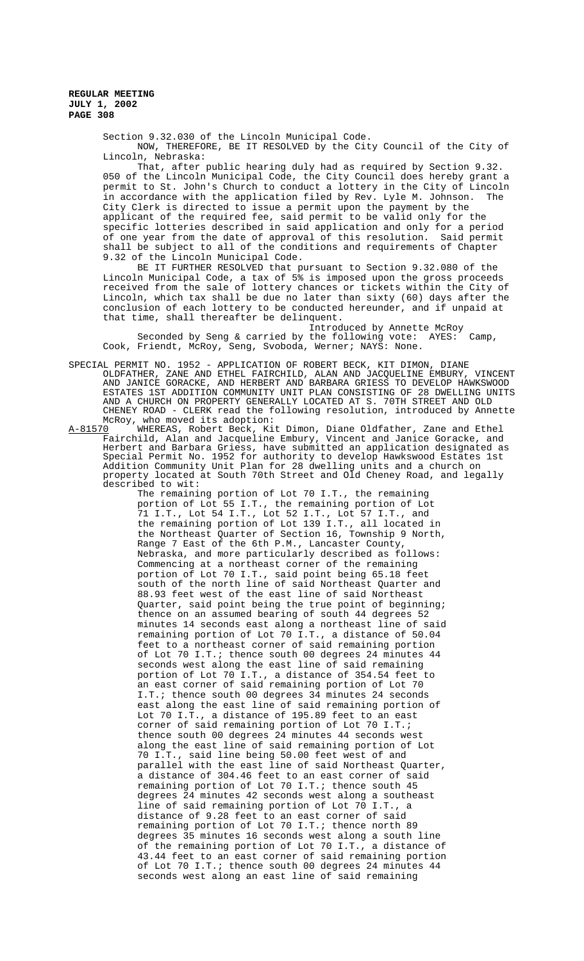Section 9.32.030 of the Lincoln Municipal Code.

NOW, THEREFORE, BE IT RESOLVED by the City Council of the City of Lincoln, Nebraska:

That, after public hearing duly had as required by Section 9.32. 050 of the Lincoln Municipal Code, the City Council does hereby grant a permit to St. John's Church to conduct a lottery in the City of Lincoln in accordance with the application filed by Rev. Lyle M. Johnson. The City Clerk is directed to issue a permit upon the payment by the applicant of the required fee, said permit to be valid only for the specific lotteries described in said application and only for a period of one year from the date of approval of this resolution. Said permit shall be subject to all of the conditions and requirements of Chapter 9.32 of the Lincoln Municipal Code.

BE IT FURTHER RESOLVED that pursuant to Section 9.32.080 of the Lincoln Municipal Code, a tax of 5% is imposed upon the gross proceeds received from the sale of lottery chances or tickets within the City of Lincoln, which tax shall be due no later than sixty (60) days after the conclusion of each lottery to be conducted hereunder, and if unpaid at that time, shall thereafter be delinquent.

Introduced by Annette McRoy Seconded by Seng & carried by the following vote: AYES: Camp, Cook, Friendt, McRoy, Seng, Svoboda, Werner; NAYS: None.

SPECIAL PERMIT NO. 1952 - APPLICATION OF ROBERT BECK, KIT DIMON, DIANE OLDFATHER, ZANE AND ETHEL FAIRCHILD, ALAN AND JACQUELINE EMBURY, VINCENT AND JANICE GORACKE, AND HERBERT AND BARBARA GRIESS TO DEVELOP HAWKSWOOD ESTATES 1ST ADDITION COMMUNITY UNIT PLAN CONSISTING OF 28 DWELLING UNITS AND A CHURCH ON PROPERTY GENERALLY LOCATED AT S. 70TH STREET AND OLD CHENEY ROAD - CLERK read the following resolution, introduced by Annette McRoy, who moved its adoption:

A-81570 WHEREAS, Robert Beck, Kit Dimon, Diane Oldfather, Zane and Ethel Fairchild, Alan and Jacqueline Embury, Vincent and Janice Goracke, and Herbert and Barbara Griess, have submitted an application designated as Special Permit No. 1952 for authority to develop Hawkswood Estates 1st Addition Community Unit Plan for 28 dwelling units and a church on property located at South 70th Street and Old Cheney Road, and legally described to wit:

The remaining portion of Lot 70 I.T., the remaining portion of Lot 55 I.T., the remaining portion of Lot 71 I.T., Lot 54 I.T., Lot 52 I.T., Lot 57 I.T., and the remaining portion of Lot 139 I.T., all located in the Northeast Quarter of Section 16, Township 9 North, Range 7 East of the 6th P.M., Lancaster County, Nebraska, and more particularly described as follows: Commencing at a northeast corner of the remaining portion of Lot 70 I.T., said point being 65.18 feet south of the north line of said Northeast Quarter and 88.93 feet west of the east line of said Northeast Quarter, said point being the true point of beginning; thence on an assumed bearing of south 44 degrees 52 minutes 14 seconds east along a northeast line of said remaining portion of Lot 70 I.T., a distance of 50.04 feet to a northeast corner of said remaining portion of Lot 70 I.T.; thence south 00 degrees 24 minutes 44 seconds west along the east line of said remaining portion of Lot 70 I.T., a distance of 354.54 feet to an east corner of said remaining portion of Lot 70 I.T.; thence south 00 degrees 34 minutes 24 seconds east along the east line of said remaining portion of Lot 70 I.T., a distance of 195.89 feet to an east corner of said remaining portion of Lot 70 I.T.; thence south 00 degrees 24 minutes 44 seconds west along the east line of said remaining portion of Lot 70 I.T., said line being 50.00 feet west of and parallel with the east line of said Northeast Quarter, a distance of 304.46 feet to an east corner of said remaining portion of Lot 70 I.T.; thence south 45 degrees 24 minutes 42 seconds west along a southeast line of said remaining portion of Lot 70 I.T., a distance of 9.28 feet to an east corner of said remaining portion of Lot 70 I.T.; thence north 89 degrees 35 minutes 16 seconds west along a south line of the remaining portion of Lot 70 I.T., a distance of 43.44 feet to an east corner of said remaining portion of Lot 70 I.T.; thence south 00 degrees 24 minutes 44 seconds west along an east line of said remaining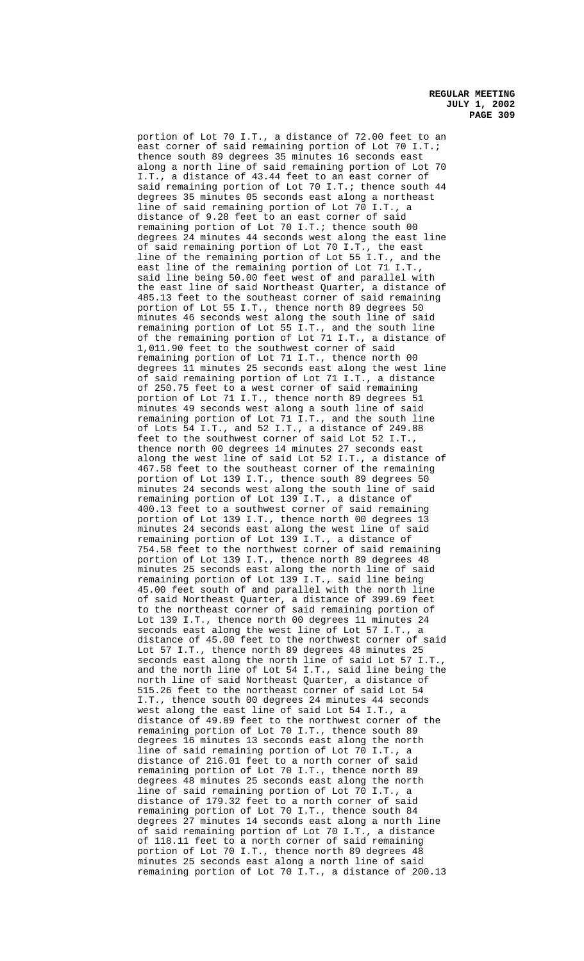portion of Lot 70 I.T., a distance of 72.00 feet to an east corner of said remaining portion of Lot 70 I.T.; thence south 89 degrees 35 minutes 16 seconds east along a north line of said remaining portion of Lot 70 I.T., a distance of 43.44 feet to an east corner of said remaining portion of Lot 70 I.T.; thence south 44 degrees 35 minutes 05 seconds east along a northeast line of said remaining portion of Lot 70 I.T., a distance of 9.28 feet to an east corner of said remaining portion of Lot 70 I.T.; thence south 00 degrees 24 minutes 44 seconds west along the east line of said remaining portion of Lot 70 I.T., the east line of the remaining portion of Lot 55 I.T., and the east line of the remaining portion of Lot 71 I.T., said line being 50.00 feet west of and parallel with the east line of said Northeast Quarter, a distance of 485.13 feet to the southeast corner of said remaining portion of Lot 55 I.T., thence north 89 degrees 50 minutes 46 seconds west along the south line of said remaining portion of Lot 55 I.T., and the south line of the remaining portion of Lot 71 I.T., a distance of 1,011.90 feet to the southwest corner of said remaining portion of Lot 71 I.T., thence north 00 degrees 11 minutes 25 seconds east along the west line of said remaining portion of Lot 71 I.T., a distance of 250.75 feet to a west corner of said remaining portion of Lot 71 I.T., thence north 89 degrees 51 minutes 49 seconds west along a south line of said remaining portion of Lot 71 I.T., and the south line of Lots 54 I.T., and 52 I.T., a distance of 249.88 feet to the southwest corner of said Lot 52 I.T., thence north 00 degrees 14 minutes 27 seconds east along the west line of said Lot 52 I.T., a distance of 467.58 feet to the southeast corner of the remaining portion of Lot 139 I.T., thence south 89 degrees 50 minutes 24 seconds west along the south line of said remaining portion of Lot 139 I.T., a distance of 400.13 feet to a southwest corner of said remaining portion of Lot 139 I.T., thence north 00 degrees 13 minutes 24 seconds east along the west line of said remaining portion of Lot 139 I.T., a distance of 754.58 feet to the northwest corner of said remaining portion of Lot 139 I.T., thence north 89 degrees 48 minutes 25 seconds east along the north line of said remaining portion of Lot 139 I.T., said line being 45.00 feet south of and parallel with the north line of said Northeast Quarter, a distance of 399.69 feet to the northeast corner of said remaining portion of Lot 139 I.T., thence north 00 degrees 11 minutes 24 seconds east along the west line of Lot 57 I.T., a distance of 45.00 feet to the northwest corner of said Lot 57 I.T., thence north 89 degrees 48 minutes 25 seconds east along the north line of said Lot 57 I.T., and the north line of Lot 54 I.T., said line being the north line of said Northeast Quarter, a distance of 515.26 feet to the northeast corner of said Lot 54 I.T., thence south 00 degrees 24 minutes 44 seconds west along the east line of said Lot 54 I.T., a distance of 49.89 feet to the northwest corner of the remaining portion of Lot 70 I.T., thence south 89 degrees 16 minutes 13 seconds east along the north line of said remaining portion of Lot 70 I.T., a distance of 216.01 feet to a north corner of said remaining portion of Lot 70 I.T., thence north 89 degrees 48 minutes 25 seconds east along the north line of said remaining portion of Lot 70 I.T., a distance of 179.32 feet to a north corner of said remaining portion of Lot 70 I.T., thence south 84 degrees 27 minutes 14 seconds east along a north line of said remaining portion of Lot 70 I.T., a distance of 118.11 feet to a north corner of said remaining portion of Lot 70 I.T., thence north 89 degrees 48 minutes 25 seconds east along a north line of said remaining portion of Lot 70 I.T., a distance of 200.13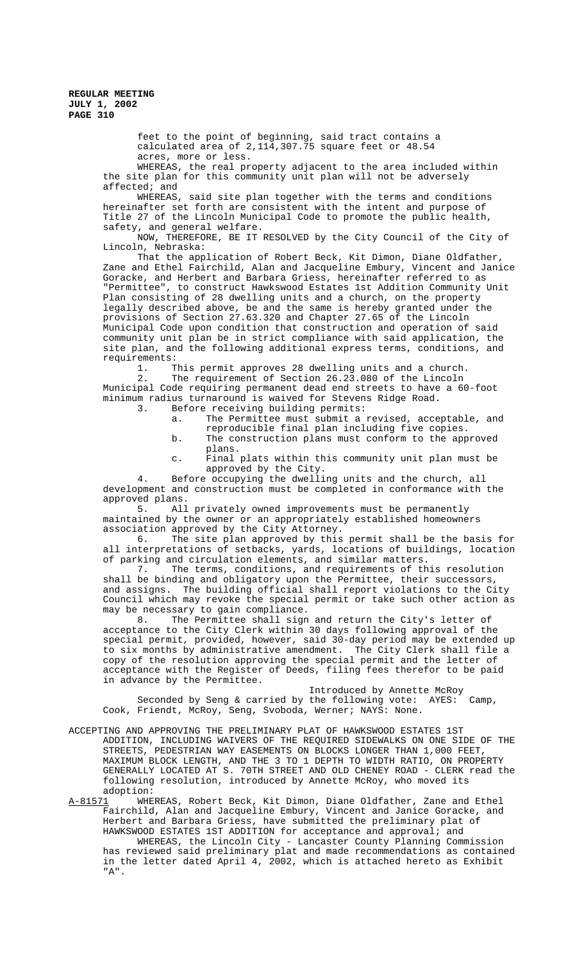feet to the point of beginning, said tract contains a calculated area of 2,114,307.75 square feet or 48.54 acres, more or less.

WHEREAS, the real property adjacent to the area included within the site plan for this community unit plan will not be adversely affected; and

WHEREAS, said site plan together with the terms and conditions hereinafter set forth are consistent with the intent and purpose of Title 27 of the Lincoln Municipal Code to promote the public health, safety, and general welfare.

NOW, THEREFORE, BE IT RESOLVED by the City Council of the City of Lincoln, Nebraska:

That the application of Robert Beck, Kit Dimon, Diane Oldfather, Zane and Ethel Fairchild, Alan and Jacqueline Embury, Vincent and Janice Goracke, and Herbert and Barbara Griess, hereinafter referred to as "Permittee", to construct Hawkswood Estates 1st Addition Community Unit Plan consisting of 28 dwelling units and a church, on the property legally described above, be and the same is hereby granted under the provisions of Section 27.63.320 and Chapter 27.65 of the Lincoln Municipal Code upon condition that construction and operation of said community unit plan be in strict compliance with said application, the site plan, and the following additional express terms, conditions, and

requirements:<br>1. T. 1. This permit approves 28 dwelling units and a church.<br>2. The requirement of Section 26.23.080 of the Lincoln The requirement of Section 26.23.080 of the Lincoln Municipal Code requiring permanent dead end streets to have a 60-foot minimum radius turnaround is waived for Stevens Ridge Road.<br>3. Before receiving building permits:

- Before receiving building permits:
	- a. The Permittee must submit a revised, acceptable, and
	- reproducible final plan including five copies. b. The construction plans must conform to the approved
	- plans. c. Final plats within this community unit plan must be
	- approved by the City.

4. Before occupying the dwelling units and the church, all development and construction must be completed in conformance with the approved plans.<br>5. All

All privately owned improvements must be permanently maintained by the owner or an appropriately established homeowners association approved by the City Attorney.

6. The site plan approved by this permit shall be the basis for all interpretations of setbacks, yards, locations of buildings, location of parking and circulation elements, and similar matters.

7. The terms, conditions, and requirements of this resolution shall be binding and obligatory upon the Permittee, their successors, and assigns. The building official shall report violations to the City Council which may revoke the special permit or take such other action as may be necessary to gain compliance.

8. The Permittee shall sign and return the City's letter of acceptance to the City Clerk within 30 days following approval of the special permit, provided, however, said 30-day period may be extended up to six months by administrative amendment. The City Clerk shall file a copy of the resolution approving the special permit and the letter of acceptance with the Register of Deeds, filing fees therefor to be paid in advance by the Permittee.

Introduced by Annette McRoy Seconded by Seng & carried by the following vote: AYES: Camp, Cook, Friendt, McRoy, Seng, Svoboda, Werner; NAYS: None.

ACCEPTING AND APPROVING THE PRELIMINARY PLAT OF HAWKSWOOD ESTATES 1ST ADDITION, INCLUDING WAIVERS OF THE REQUIRED SIDEWALKS ON ONE SIDE OF THE STREETS, PEDESTRIAN WAY EASEMENTS ON BLOCKS LONGER THAN 1,000 FEET, MAXIMUM BLOCK LENGTH, AND THE 3 TO 1 DEPTH TO WIDTH RATIO, ON PROPERTY GENERALLY LOCATED AT S. 70TH STREET AND OLD CHENEY ROAD - CLERK read the following resolution, introduced by Annette McRoy, who moved its adoption:

A-81571 MHEREAS, Robert Beck, Kit Dimon, Diane Oldfather, Zane and Ethel Fairchild, Alan and Jacqueline Embury, Vincent and Janice Goracke, and Herbert and Barbara Griess, have submitted the preliminary plat of HAWKSWOOD ESTATES 1ST ADDITION for acceptance and approval; and WHEREAS, the Lincoln City - Lancaster County Planning Commission has reviewed said preliminary plat and made recommendations as contained in the letter dated April 4, 2002, which is attached hereto as Exhibit "A".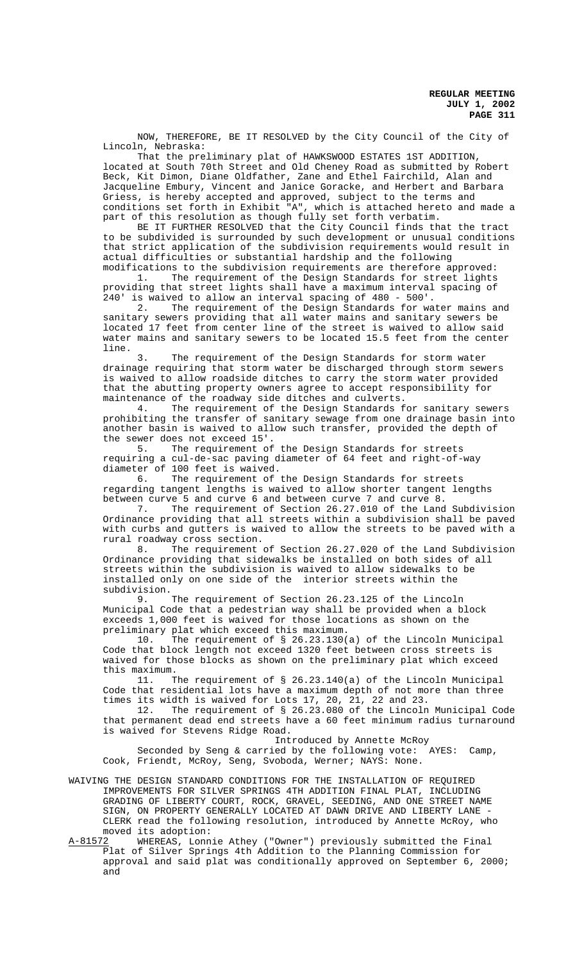NOW, THEREFORE, BE IT RESOLVED by the City Council of the City of Lincoln, Nebraska:

That the preliminary plat of HAWKSWOOD ESTATES 1ST ADDITION, located at South 70th Street and Old Cheney Road as submitted by Robert Beck, Kit Dimon, Diane Oldfather, Zane and Ethel Fairchild, Alan and Jacqueline Embury, Vincent and Janice Goracke, and Herbert and Barbara Griess, is hereby accepted and approved, subject to the terms and conditions set forth in Exhibit "A", which is attached hereto and made a part of this resolution as though fully set forth verbatim.

BE IT FURTHER RESOLVED that the City Council finds that the tract to be subdivided is surrounded by such development or unusual conditions that strict application of the subdivision requirements would result in actual difficulties or substantial hardship and the following

modifications to the subdivision requirements are therefore approved:<br>1. The requirement of the Design Standards for street lights The requirement of the Design Standards for street lights providing that street lights shall have a maximum interval spacing of 240' is waived to allow an interval spacing of 480 - 500'.

2. The requirement of the Design Standards for water mains and sanitary sewers providing that all water mains and sanitary sewers be located 17 feet from center line of the street is waived to allow said water mains and sanitary sewers to be located 15.5 feet from the center line.

3. The requirement of the Design Standards for storm water drainage requiring that storm water be discharged through storm sewers is waived to allow roadside ditches to carry the storm water provided that the abutting property owners agree to accept responsibility for maintenance of the roadway side ditches and culverts.

4. The requirement of the Design Standards for sanitary sewers prohibiting the transfer of sanitary sewage from one drainage basin into another basin is waived to allow such transfer, provided the depth of the sewer does not exceed 15'.

5. The requirement of the Design Standards for streets requiring a cul-de-sac paving diameter of 64 feet and right-of-way diameter of 100 feet is waived.

6. The requirement of the Design Standards for streets regarding tangent lengths is waived to allow shorter tangent lengths between curve 5 and curve 6 and between curve 7 and curve 8.

7. The requirement of Section 26.27.010 of the Land Subdivision Ordinance providing that all streets within a subdivision shall be paved with curbs and gutters is waived to allow the streets to be paved with a rural roadway cross section.<br>8. The requirement

The requirement of Section 26.27.020 of the Land Subdivision Ordinance providing that sidewalks be installed on both sides of all streets within the subdivision is waived to allow sidewalks to be installed only on one side of the interior streets within the subdivision.<br>9.

The requirement of Section 26.23.125 of the Lincoln Municipal Code that a pedestrian way shall be provided when a block exceeds 1,000 feet is waived for those locations as shown on the preliminary plat which exceed this maximum.

10. The requirement of § 26.23.130(a) of the Lincoln Municipal Code that block length not exceed 1320 feet between cross streets is waived for those blocks as shown on the preliminary plat which exceed this maximum.<br>11. T

The requirement of § 26.23.140(a) of the Lincoln Municipal Code that residential lots have a maximum depth of not more than three times its width is waived for Lots 17, 20, 21, 22 and 23.

12. The requirement of § 26.23.080 of the Lincoln Municipal Code that permanent dead end streets have a 60 feet minimum radius turnaround is waived for Stevens Ridge Road.

Introduced by Annette McRoy

Seconded by Seng & carried by the following vote: AYES: Camp, Cook, Friendt, McRoy, Seng, Svoboda, Werner; NAYS: None.

WAIVING THE DESIGN STANDARD CONDITIONS FOR THE INSTALLATION OF REQUIRED IMPROVEMENTS FOR SILVER SPRINGS 4TH ADDITION FINAL PLAT, INCLUDING GRADING OF LIBERTY COURT, ROCK, GRAVEL, SEEDING, AND ONE STREET NAME SIGN, ON PROPERTY GENERALLY LOCATED AT DAWN DRIVE AND LIBERTY LANE - CLERK read the following resolution, introduced by Annette McRoy, who moved its adoption:

A-81572 WHEREAS, Lonnie Athey ("Owner") previously submitted the Final Plat of Silver Springs 4th Addition to the Planning Commission for approval and said plat was conditionally approved on September 6, 2000; and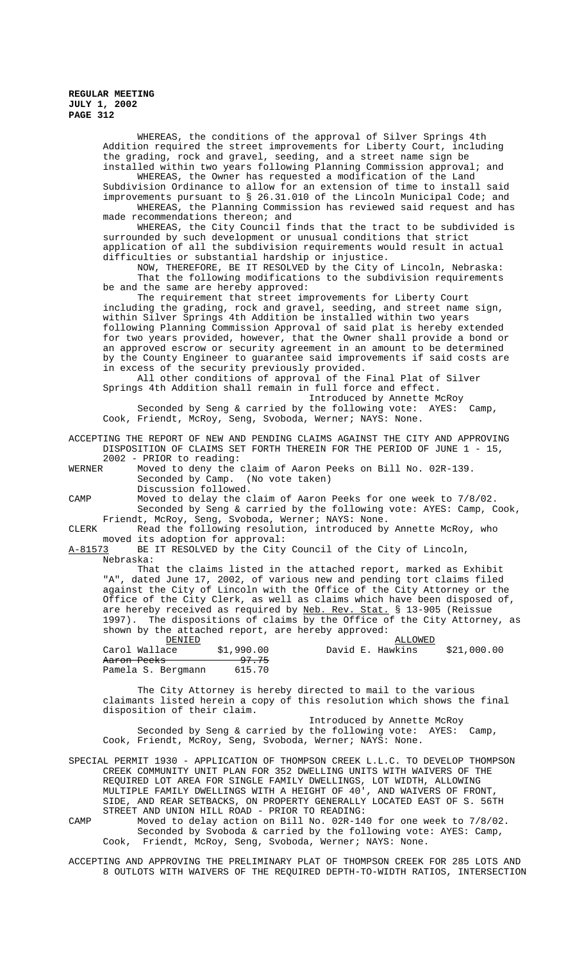WHEREAS, the conditions of the approval of Silver Springs 4th Addition required the street improvements for Liberty Court, including the grading, rock and gravel, seeding, and a street name sign be installed within two years following Planning Commission approval; and WHEREAS, the Owner has requested a modification of the Land Subdivision Ordinance to allow for an extension of time to install said improvements pursuant to § 26.31.010 of the Lincoln Municipal Code; and WHEREAS, the Planning Commission has reviewed said request and has made recommendations thereon; and WHEREAS, the City Council finds that the tract to be subdivided is surrounded by such development or unusual conditions that strict application of all the subdivision requirements would result in actual difficulties or substantial hardship or injustice. NOW, THEREFORE, BE IT RESOLVED by the City of Lincoln, Nebraska: That the following modifications to the subdivision requirements be and the same are hereby approved: The requirement that street improvements for Liberty Court including the grading, rock and gravel, seeding, and street name sign, within Silver Springs 4th Addition be installed within two years following Planning Commission Approval of said plat is hereby extended for two years provided, however, that the Owner shall provide a bond or an approved escrow or security agreement in an amount to be determined by the County Engineer to guarantee said improvements if said costs are in excess of the security previously provided. All other conditions of approval of the Final Plat of Silver Springs 4th Addition shall remain in full force and effect. Introduced by Annette McRoy Seconded by Seng & carried by the following vote: AYES: Camp, Cook, Friendt, McRoy, Seng, Svoboda, Werner; NAYS: None. ACCEPTING THE REPORT OF NEW AND PENDING CLAIMS AGAINST THE CITY AND APPROVING DISPOSITION OF CLAIMS SET FORTH THEREIN FOR THE PERIOD OF JUNE 1 - 15, 2002 - PRIOR to reading:<br>WERNER Moved to deny the Moved to deny the claim of Aaron Peeks on Bill No. 02R-139. Seconded by Camp. (No vote taken) Discussion followed. CAMP Moved to delay the claim of Aaron Peeks for one week to 7/8/02. Seconded by Seng & carried by the following vote: AYES: Camp, Cook, Friendt, McRoy, Seng, Svoboda, Werner; NAYS: None. CLERK Read the following resolution, introduced by Annette McRoy, who moved its adoption for approval: A-81573 BE IT RESOLVED by the City Council of the City of Lincoln, Nebraska: That the claims listed in the attached report, marked as Exhibit "A", dated June 17, 2002, of various new and pending tort claims filed against the City of Lincoln with the Office of the City Attorney or the Office of the City Clerk, as well as claims which have been disposed of, are hereby received as required by Neb. Rev. Stat. § 13-905 (Reissue 1997). The dispositions of claims by the Office of the City Attorney, as shown by the attached report, are hereby approved: DENIED ALLOWED 990.00 David E. Hawkins \$21,000.00<br>
97.75<br>
615.70 Aaron Peeks Pamela S. Bergmann The City Attorney is hereby directed to mail to the various claimants listed herein a copy of this resolution which shows the final disposition of their claim. Introduced by Annette McRoy Seconded by Seng & carried by the following vote: AYES: Camp, Cook, Friendt, McRoy, Seng, Svoboda, Werner; NAYS: None. SPECIAL PERMIT 1930 - APPLICATION OF THOMPSON CREEK L.L.C. TO DEVELOP THOMPSON CREEK COMMUNITY UNIT PLAN FOR 352 DWELLING UNITS WITH WAIVERS OF THE

REQUIRED LOT AREA FOR SINGLE FAMILY DWELLINGS, LOT WIDTH, ALLOWING MULTIPLE FAMILY DWELLINGS WITH A HEIGHT OF 40', AND WAIVERS OF FRONT, SIDE, AND REAR SETBACKS, ON PROPERTY GENERALLY LOCATED EAST OF S. 56TH STREET AND UNION HILL ROAD - PRIOR TO READING:

CAMP Moved to delay action on Bill No. 02R-140 for one week to 7/8/02. Seconded by Svoboda & carried by the following vote: AYES: Camp, Cook, Friendt, McRoy, Seng, Svoboda, Werner; NAYS: None.

ACCEPTING AND APPROVING THE PRELIMINARY PLAT OF THOMPSON CREEK FOR 285 LOTS AND 8 OUTLOTS WITH WAIVERS OF THE REQUIRED DEPTH-TO-WIDTH RATIOS, INTERSECTION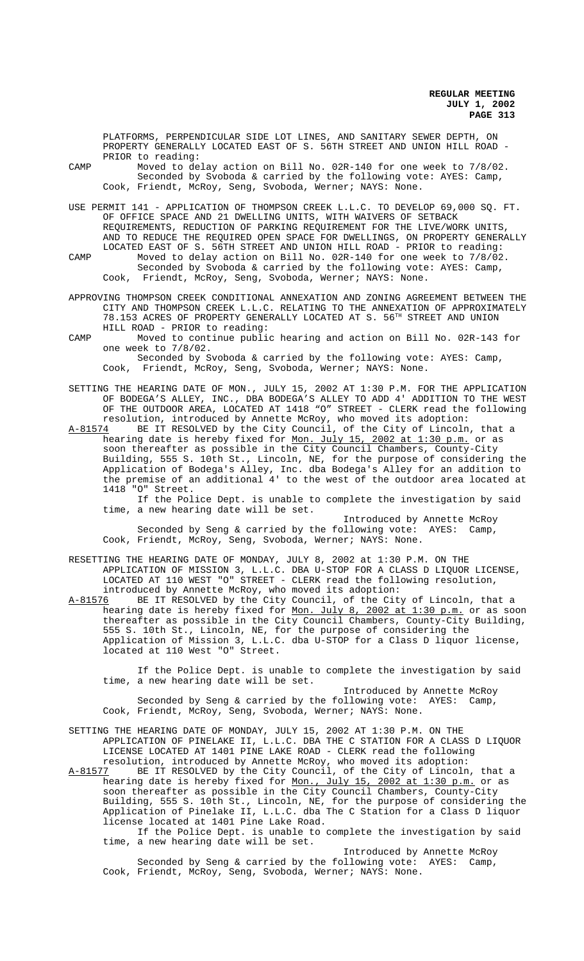PLATFORMS, PERPENDICULAR SIDE LOT LINES, AND SANITARY SEWER DEPTH, ON PROPERTY GENERALLY LOCATED EAST OF S. 56TH STREET AND UNION HILL ROAD - PRIOR to reading:

CAMP Moved to delay action on Bill No. 02R-140 for one week to 7/8/02. Seconded by Svoboda & carried by the following vote: AYES: Camp, Cook, Friendt, McRoy, Seng, Svoboda, Werner; NAYS: None.

USE PERMIT 141 - APPLICATION OF THOMPSON CREEK L.L.C. TO DEVELOP 69,000 SQ. FT. OF OFFICE SPACE AND 21 DWELLING UNITS, WITH WAIVERS OF SETBACK REQUIREMENTS, REDUCTION OF PARKING REQUIREMENT FOR THE LIVE/WORK UNITS, AND TO REDUCE THE REQUIRED OPEN SPACE FOR DWELLINGS, ON PROPERTY GENERALLY LOCATED EAST OF S. 56TH STREET AND UNION HILL ROAD - PRIOR to reading:

- CAMP Moved to delay action on Bill No. 02R-140 for one week to 7/8/02. Seconded by Svoboda & carried by the following vote: AYES: Camp, Cook, Friendt, McRoy, Seng, Svoboda, Werner; NAYS: None.
- APPROVING THOMPSON CREEK CONDITIONAL ANNEXATION AND ZONING AGREEMENT BETWEEN THE CITY AND THOMPSON CREEK L.L.C. RELATING TO THE ANNEXATION OF APPROXIMATELY 78.153 ACRES OF PROPERTY GENERALLY LOCATED AT S. 56TH STREET AND UNION HILL ROAD - PRIOR to reading:
- CAMP Moved to continue public hearing and action on Bill No. 02R-143 for one week to 7/8/02. Seconded by Svoboda & carried by the following vote: AYES: Camp,

Cook, Friendt, McRoy, Seng, Svoboda, Werner; NAYS: None.

SETTING THE HEARING DATE OF MON., JULY 15, 2002 AT 1:30 P.M. FOR THE APPLICATION OF BODEGA'S ALLEY, INC., DBA BODEGA'S ALLEY TO ADD 4' ADDITION TO THE WEST OF THE OUTDOOR AREA, LOCATED AT 1418 "O" STREET - CLERK read the following resolution, introduced by Annette McRoy, who moved its adoption:<br>A-81574 BE IT RESOLVED by the City Council, of the City of Lincoln

A-81574 BE IT RESOLVED by the City Council, of the City of Lincoln, that a hearing date is hereby fixed for <u>Mon. July 15, 2002 at 1:30 p.m.</u> or as soon thereafter as possible in the City Council Chambers, County-City Building, 555 S. 10th St., Lincoln, NE, for the purpose of considering the Application of Bodega's Alley, Inc. dba Bodega's Alley for an addition to the premise of an additional 4' to the west of the outdoor area located at 1418 "O" Street.

If the Police Dept. is unable to complete the investigation by said time, a new hearing date will be set.

Introduced by Annette McRoy Seconded by Seng & carried by the following vote: AYES: Camp, Cook, Friendt, McRoy, Seng, Svoboda, Werner; NAYS: None.

# RESETTING THE HEARING DATE OF MONDAY, JULY 8, 2002 at 1:30 P.M. ON THE APPLICATION OF MISSION 3, L.L.C. DBA U-STOP FOR A CLASS D LIQUOR LICENSE, LOCATED AT 110 WEST "O" STREET - CLERK read the following resolution, introduced by Annette McRoy, who moved its adoption:

A-81576 BE IT RESOLVED by the City Council, of the City of Lincoln, that a hearing date is hereby fixed for Mon. July 8, 2002 at 1:30 p.m. or as soon thereafter as possible in the City Council Chambers, County-City Building, 555 S. 10th St., Lincoln, NE, for the purpose of considering the Application of Mission 3, L.L.C. dba U-STOP for a Class D liquor license, located at 110 West "O" Street.

If the Police Dept. is unable to complete the investigation by said time, a new hearing date will be set.

Introduced by Annette McRoy Seconded by Seng & carried by the following vote: AYES: Camp, Cook, Friendt, McRoy, Seng, Svoboda, Werner; NAYS: None.

- SETTING THE HEARING DATE OF MONDAY, JULY 15, 2002 AT 1:30 P.M. ON THE APPLICATION OF PINELAKE II, L.L.C. DBA THE C STATION FOR A CLASS D LIQUOR LICENSE LOCATED AT 1401 PINE LAKE ROAD - CLERK read the following resolution, introduced by Annette McRoy, who moved its adoption:<br>A-81577 BE IT RESOLVED by the City Council, of the City of Lincoln
- BE IT RESOLVED by the City Council, of the City of Lincoln, that a hearing date is hereby fixed for <u>Mon., July 15, 2002 at 1:30 p.m.</u> or as hearing date is hereby fixed for <u>Mon., July 15, 2002 at 1:30 p.m.</u> or as soon thereafter as possible in the City Council Chambers, County-City Building, 555 S. 10th St., Lincoln, NE, for the purpose of considering the Application of Pinelake II, L.L.C. dba The C Station for a Class D liquor license located at 1401 Pine Lake Road.

If the Police Dept. is unable to complete the investigation by said time, a new hearing date will be set.

Introduced by Annette McRoy Seconded by Seng & carried by the following vote: AYES: Camp, Cook, Friendt, McRoy, Seng, Svoboda, Werner; NAYS: None.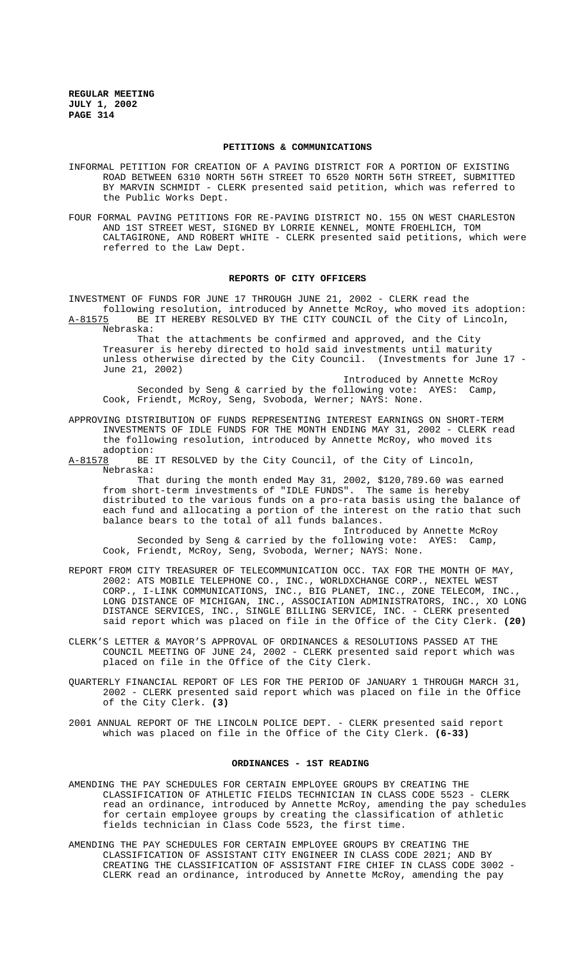#### **PETITIONS & COMMUNICATIONS**

- INFORMAL PETITION FOR CREATION OF A PAVING DISTRICT FOR A PORTION OF EXISTING ROAD BETWEEN 6310 NORTH 56TH STREET TO 6520 NORTH 56TH STREET, SUBMITTED BY MARVIN SCHMIDT - CLERK presented said petition, which was referred to the Public Works Dept.
- FOUR FORMAL PAVING PETITIONS FOR RE-PAVING DISTRICT NO. 155 ON WEST CHARLESTON AND 1ST STREET WEST, SIGNED BY LORRIE KENNEL, MONTE FROEHLICH, TOM CALTAGIRONE, AND ROBERT WHITE - CLERK presented said petitions, which were referred to the Law Dept.

## **REPORTS OF CITY OFFICERS**

INVESTMENT OF FUNDS FOR JUNE 17 THROUGH JUNE 21, 2002 - CLERK read the following resolution, introduced by Annette McRoy, who moved its adoption:

A-81575 BE IT HEREBY RESOLVED BY THE CITY COUNCIL of the City of Lincoln, Nebraska:

That the attachments be confirmed and approved, and the City Treasurer is hereby directed to hold said investments until maturity unless otherwise directed by the City Council. (Investments for June 17 - June 21, 2002)

Introduced by Annette McRoy Seconded by Seng & carried by the following vote: AYES: Camp, Cook, Friendt, McRoy, Seng, Svoboda, Werner; NAYS: None.

- APPROVING DISTRIBUTION OF FUNDS REPRESENTING INTEREST EARNINGS ON SHORT-TERM INVESTMENTS OF IDLE FUNDS FOR THE MONTH ENDING MAY 31, 2002 - CLERK read the following resolution, introduced by Annette McRoy, who moved its adoption:
- A-81578 BE IT RESOLVED by the City Council, of the City of Lincoln, Nebraska:

That during the month ended May 31, 2002, \$120,789.60 was earned from short-term investments of "IDLE FUNDS". The same is hereby distributed to the various funds on a pro-rata basis using the balance of each fund and allocating a portion of the interest on the ratio that such balance bears to the total of all funds balances.

Introduced by Annette McRoy Seconded by Seng & carried by the following vote: AYES: Camp, Cook, Friendt, McRoy, Seng, Svoboda, Werner; NAYS: None.

- REPORT FROM CITY TREASURER OF TELECOMMUNICATION OCC. TAX FOR THE MONTH OF MAY, 2002: ATS MOBILE TELEPHONE CO., INC., WORLDXCHANGE CORP., NEXTEL WEST CORP., I-LINK COMMUNICATIONS, INC., BIG PLANET, INC., ZONE TELECOM, INC., LONG DISTANCE OF MICHIGAN, INC., ASSOCIATION ADMINISTRATORS, INC., XO LONG DISTANCE SERVICES, INC., SINGLE BILLING SERVICE, INC. - CLERK presented said report which was placed on file in the Office of the City Clerk. **(20)**
- CLERK'S LETTER & MAYOR'S APPROVAL OF ORDINANCES & RESOLUTIONS PASSED AT THE COUNCIL MEETING OF JUNE 24, 2002 - CLERK presented said report which was placed on file in the Office of the City Clerk.
- QUARTERLY FINANCIAL REPORT OF LES FOR THE PERIOD OF JANUARY 1 THROUGH MARCH 31, 2002 - CLERK presented said report which was placed on file in the Office of the City Clerk. **(3)**
- 2001 ANNUAL REPORT OF THE LINCOLN POLICE DEPT. CLERK presented said report which was placed on file in the Office of the City Clerk. **(6-33)**

## **ORDINANCES - 1ST READING**

- AMENDING THE PAY SCHEDULES FOR CERTAIN EMPLOYEE GROUPS BY CREATING THE CLASSIFICATION OF ATHLETIC FIELDS TECHNICIAN IN CLASS CODE 5523 - CLERK read an ordinance, introduced by Annette McRoy, amending the pay schedules for certain employee groups by creating the classification of athletic fields technician in Class Code 5523, the first time.
- AMENDING THE PAY SCHEDULES FOR CERTAIN EMPLOYEE GROUPS BY CREATING THE CLASSIFICATION OF ASSISTANT CITY ENGINEER IN CLASS CODE 2021; AND BY CREATING THE CLASSIFICATION OF ASSISTANT FIRE CHIEF IN CLASS CODE 3002 - CLERK read an ordinance, introduced by Annette McRoy, amending the pay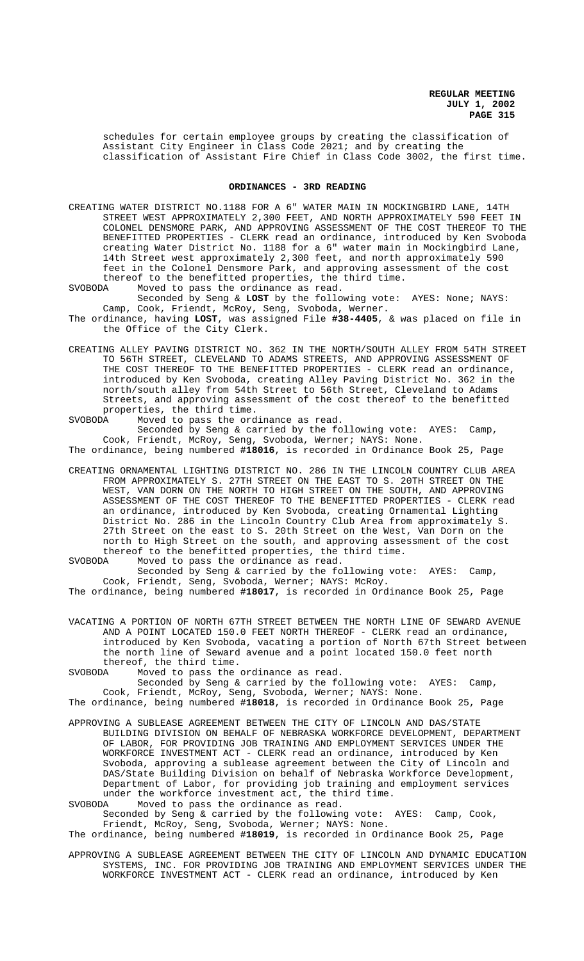schedules for certain employee groups by creating the classification of Assistant City Engineer in Class Code 2021; and by creating the classification of Assistant Fire Chief in Class Code 3002, the first time.

### **ORDINANCES - 3RD READING**

CREATING WATER DISTRICT NO.1188 FOR A 6" WATER MAIN IN MOCKINGBIRD LANE, 14TH STREET WEST APPROXIMATELY 2,300 FEET, AND NORTH APPROXIMATELY 590 FEET IN COLONEL DENSMORE PARK, AND APPROVING ASSESSMENT OF THE COST THEREOF TO THE BENEFITTED PROPERTIES - CLERK read an ordinance, introduced by Ken Svoboda creating Water District No. 1188 for a 6" water main in Mockingbird Lane, 14th Street west approximately 2,300 feet, and north approximately 590 feet in the Colonel Densmore Park, and approving assessment of the cost thereof to the benefitted properties, the third time.<br>SVOBODA Moved to pass the ordinance as read.

Moved to pass the ordinance as read.

the Office of the City Clerk.

Seconded by Seng & **LOST** by the following vote: AYES: None; NAYS: Camp, Cook, Friendt, McRoy, Seng, Svoboda, Werner. The ordinance, having **LOST**, was assigned File **#38-4405**, & was placed on file in

CREATING ALLEY PAVING DISTRICT NO. 362 IN THE NORTH/SOUTH ALLEY FROM 54TH STREET TO 56TH STREET, CLEVELAND TO ADAMS STREETS, AND APPROVING ASSESSMENT OF THE COST THEREOF TO THE BENEFITTED PROPERTIES - CLERK read an ordinance, introduced by Ken Svoboda, creating Alley Paving District No. 362 in the north/south alley from 54th Street to 56th Street, Cleveland to Adams Streets, and approving assessment of the cost thereof to the benefitted properties, the third time.

SVOBODA Moved to pass the ordinance as read. Seconded by Seng & carried by the following vote: AYES: Camp, Cook, Friendt, McRoy, Seng, Svoboda, Werner; NAYS: None.

The ordinance, being numbered **#18016**, is recorded in Ordinance Book 25, Page

CREATING ORNAMENTAL LIGHTING DISTRICT NO. 286 IN THE LINCOLN COUNTRY CLUB AREA FROM APPROXIMATELY S. 27TH STREET ON THE EAST TO S. 20TH STREET ON THE WEST, VAN DORN ON THE NORTH TO HIGH STREET ON THE SOUTH, AND APPROVING ASSESSMENT OF THE COST THEREOF TO THE BENEFITTED PROPERTIES - CLERK read an ordinance, introduced by Ken Svoboda, creating Ornamental Lighting District No. 286 in the Lincoln Country Club Area from approximately S. 27th Street on the east to S. 20th Street on the West, Van Dorn on the north to High Street on the south, and approving assessment of the cost thereof to the benefitted properties, the third time.<br>SVORODA Moved to pass the ordinance as read.

Moved to pass the ordinance as read. Seconded by Seng & carried by the following vote: AYES: Camp, Cook, Friendt, Seng, Svoboda, Werner; NAYS: McRoy.

The ordinance, being numbered **#18017**, is recorded in Ordinance Book 25, Page

VACATING A PORTION OF NORTH 67TH STREET BETWEEN THE NORTH LINE OF SEWARD AVENUE AND A POINT LOCATED 150.0 FEET NORTH THEREOF - CLERK read an ordinance, introduced by Ken Svoboda, vacating a portion of North 67th Street between the north line of Seward avenue and a point located 150.0 feet north thereof, the third time.

SVOBODA Moved to pass the ordinance as read.

Seconded by Seng & carried by the following vote: AYES: Camp,

Cook, Friendt, McRoy, Seng, Svoboda, Werner; NAYS: None.

The ordinance, being numbered **#18018**, is recorded in Ordinance Book 25, Page

APPROVING A SUBLEASE AGREEMENT BETWEEN THE CITY OF LINCOLN AND DAS/STATE BUILDING DIVISION ON BEHALF OF NEBRASKA WORKFORCE DEVELOPMENT, DEPARTMENT OF LABOR, FOR PROVIDING JOB TRAINING AND EMPLOYMENT SERVICES UNDER THE WORKFORCE INVESTMENT ACT - CLERK read an ordinance, introduced by Ken Svoboda, approving a sublease agreement between the City of Lincoln and DAS/State Building Division on behalf of Nebraska Workforce Development, Department of Labor, for providing job training and employment services under the workforce investment act, the third time.<br>SVOBODA Moved to pass the ordinance as read. Moved to pass the ordinance as read.

Seconded by Seng & carried by the following vote: AYES: Camp, Cook, Friendt, McRoy, Seng, Svoboda, Werner; NAYS: None.

The ordinance, being numbered **#18019**, is recorded in Ordinance Book 25, Page

APPROVING A SUBLEASE AGREEMENT BETWEEN THE CITY OF LINCOLN AND DYNAMIC EDUCATION SYSTEMS, INC. FOR PROVIDING JOB TRAINING AND EMPLOYMENT SERVICES UNDER THE WORKFORCE INVESTMENT ACT - CLERK read an ordinance, introduced by Ken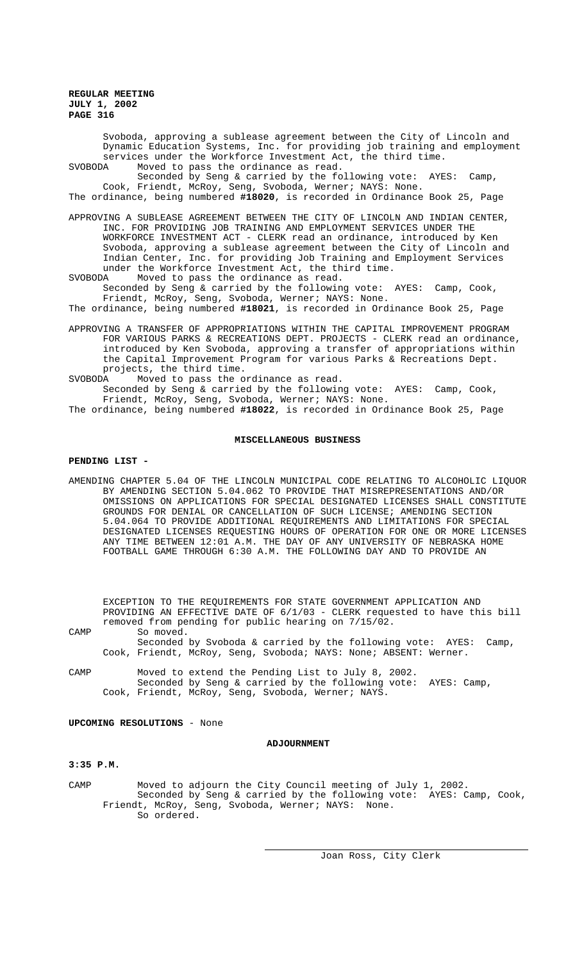Svoboda, approving a sublease agreement between the City of Lincoln and Dynamic Education Systems, Inc. for providing job training and employment services under the Workforce Investment Act, the third time.<br>SVOBODA Moved to pass the ordinance as read. Moved to pass the ordinance as read.

Seconded by Seng & carried by the following vote: AYES: Camp, Cook, Friendt, McRoy, Seng, Svoboda, Werner; NAYS: None. The ordinance, being numbered **#18020**, is recorded in Ordinance Book 25, Page

APPROVING A SUBLEASE AGREEMENT BETWEEN THE CITY OF LINCOLN AND INDIAN CENTER, INC. FOR PROVIDING JOB TRAINING AND EMPLOYMENT SERVICES UNDER THE WORKFORCE INVESTMENT ACT - CLERK read an ordinance, introduced by Ken Svoboda, approving a sublease agreement between the City of Lincoln and Indian Center, Inc. for providing Job Training and Employment Services under the Workforce Investment Act, the third time.<br>SVOBODA Moved to pass the ordinance as read.

- Moved to pass the ordinance as read. Seconded by Seng & carried by the following vote: AYES: Camp, Cook, Friendt, McRoy, Seng, Svoboda, Werner; NAYS: None.
- The ordinance, being numbered **#18021**, is recorded in Ordinance Book 25, Page
- APPROVING A TRANSFER OF APPROPRIATIONS WITHIN THE CAPITAL IMPROVEMENT PROGRAM FOR VARIOUS PARKS & RECREATIONS DEPT. PROJECTS - CLERK read an ordinance, introduced by Ken Svoboda, approving a transfer of appropriations within the Capital Improvement Program for various Parks & Recreations Dept. projects, the third time.

SVOBODA Moved to pass the ordinance as read.

Seconded by Seng & carried by the following vote: AYES: Camp, Cook, Friendt, McRoy, Seng, Svoboda, Werner; NAYS: None.

The ordinance, being numbered **#18022**, is recorded in Ordinance Book 25, Page

### **MISCELLANEOUS BUSINESS**

### **PENDING LIST -**

AMENDING CHAPTER 5.04 OF THE LINCOLN MUNICIPAL CODE RELATING TO ALCOHOLIC LIQUOR BY AMENDING SECTION 5.04.062 TO PROVIDE THAT MISREPRESENTATIONS AND/OR OMISSIONS ON APPLICATIONS FOR SPECIAL DESIGNATED LICENSES SHALL CONSTITUTE GROUNDS FOR DENIAL OR CANCELLATION OF SUCH LICENSE; AMENDING SECTION 5.04.064 TO PROVIDE ADDITIONAL REQUIREMENTS AND LIMITATIONS FOR SPECIAL DESIGNATED LICENSES REQUESTING HOURS OF OPERATION FOR ONE OR MORE LICENSES ANY TIME BETWEEN 12:01 A.M. THE DAY OF ANY UNIVERSITY OF NEBRASKA HOME FOOTBALL GAME THROUGH 6:30 A.M. THE FOLLOWING DAY AND TO PROVIDE AN

EXCEPTION TO THE REQUIREMENTS FOR STATE GOVERNMENT APPLICATION AND PROVIDING AN EFFECTIVE DATE OF 6/1/03 - CLERK requested to have this bill removed from pending for public hearing on 7/15/02.

CAMP So moved.

Seconded by Svoboda & carried by the following vote: AYES: Camp, Cook, Friendt, McRoy, Seng, Svoboda; NAYS: None; ABSENT: Werner.

CAMP Moved to extend the Pending List to July 8, 2002. Seconded by Seng & carried by the following vote: AYES: Camp, Cook, Friendt, McRoy, Seng, Svoboda, Werner; NAYS.

# **UPCOMING RESOLUTIONS** - None

# **ADJOURNMENT**

# **3:35 P.M.**

CAMP Moved to adjourn the City Council meeting of July 1, 2002. Seconded by Seng & carried by the following vote: AYES: Camp, Cook, Friendt, McRoy, Seng, Svoboda, Werner; NAYS: None. So ordered.

l,